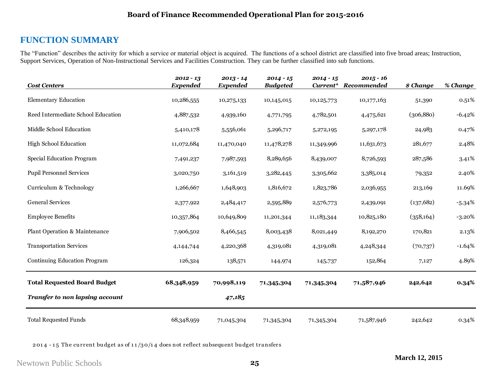# **FUNCTION SUMMARY**

The "Function" describes the activity for which a service or material object is acquired. The functions of a school district are classified into five broad areas; Instruction, Support Services, Operation of Non-Instructional Services and Facilities Construction. They can be further classified into sub functions.

| <b>Cost Centers</b>                    | $2012 - 13$<br><b>Expended</b> | $2013 - 14$<br><b>Expended</b> | $2014 - 15$<br><b>Budgeted</b> | $2014 - 15$<br>Current* | $2015 - 16$<br>Recommended | \$ Change  | % Change  |
|----------------------------------------|--------------------------------|--------------------------------|--------------------------------|-------------------------|----------------------------|------------|-----------|
| <b>Elementary Education</b>            | 10,286,555                     | 10,275,133                     | 10,145,015                     | 10,125,773              | 10,177,163                 | 51,390     | 0.51%     |
| Reed Intermediate School Education     | 4,887,532                      | 4,939,160                      | 4,771,795                      | 4,782,501               | 4,475,621                  | (306, 880) | $-6.42%$  |
| Middle School Education                | 5,410,178                      | 5,556,061                      | 5,296,717                      | 5,272,195               | 5,297,178                  | 24,983     | 0.47%     |
| <b>High School Education</b>           | 11,072,684                     | 11,470,040                     | 11,478,278                     | 11,349,996              | 11,631,673                 | 281,677    | 2.48%     |
| Special Education Program              | 7,491,237                      | 7,987,593                      | 8,289,656                      | 8,439,007               | 8,726,593                  | 287,586    | 3.41%     |
| <b>Pupil Personnel Services</b>        | 3,020,750                      | 3,161,519                      | 3,282,445                      | 3,305,662               | 3,385,014                  | 79,352     | 2.40%     |
| Curriculum & Technology                | 1,266,667                      | 1,648,903                      | 1,816,672                      | 1,823,786               | 2,036,955                  | 213,169    | 11.69%    |
| <b>General Services</b>                | 2,377,922                      | 2,484,417                      | 2,595,889                      | 2,576,773               | 2,439,091                  | (137, 682) | $-5.34%$  |
| <b>Employee Benefits</b>               | 10,357,864                     | 10,649,809                     | 11,201,344                     | 11,183,344              | 10,825,180                 | (358, 164) | $-3.20\%$ |
| Plant Operation & Maintenance          | 7,906,502                      | 8,466,545                      | 8,003,438                      | 8,021,449               | 8,192,270                  | 170,821    | 2.13%     |
| <b>Transportation Services</b>         | 4,144,744                      | 4,220,368                      | 4,319,081                      | 4,319,081               | 4,248,344                  | (70, 737)  | $-1.64%$  |
| Continuing Education Program           | 126,324                        | 138,571                        | 144,974                        | 145,737                 | 152,864                    | 7,127      | 4.89%     |
| <b>Total Requested Board Budget</b>    | 68,348,959                     | 70,998,119                     | 71,345,304                     | 71,345,304              | 71,587,946                 | 242,642    | 0.34%     |
| <b>Transfer to non lapsing account</b> |                                | 47,185                         |                                |                         |                            |            |           |
| <b>Total Requested Funds</b>           | 68,348,959                     | 71,045,304                     | 71,345,304                     | 71,345,304              | 71,587,946                 | 242,642    | 0.34%     |

2014 - 15 The current budget as of  $11/30/14$  does not reflect subsequent budget transfers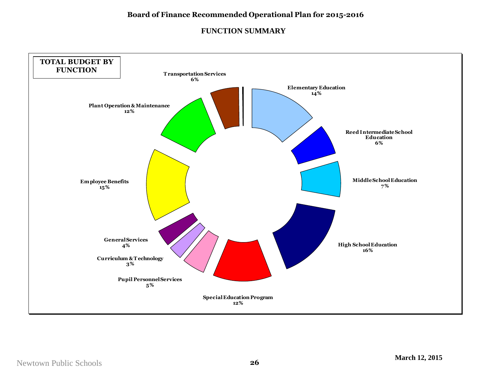## **FUNCTION SUMMARY**

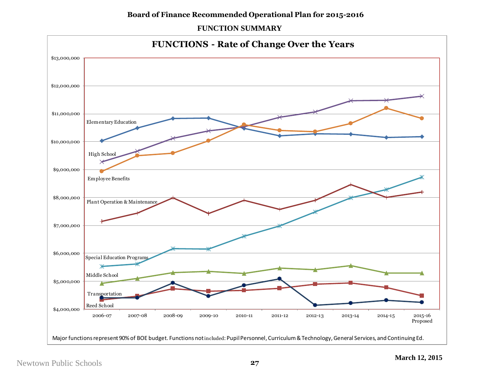## **Board of Finance Recommended Operational Plan for 2015-2016**

## **FUNCTION SUMMARY**

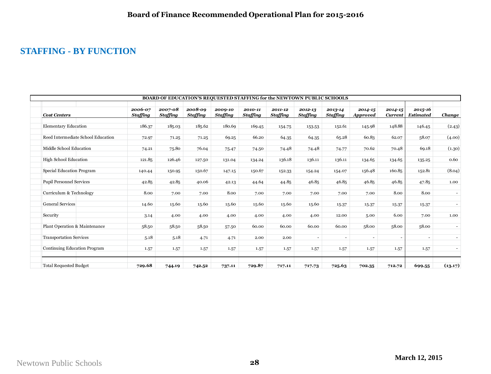# **STAFFING - BY FUNCTION**

| BOARD OF EDUCATION'S REQUESTED STAFFING for the NEWTOWN PUBLIC SCHOOLS |                     |                            |                            |                     |                            |                            |                            |                            |                                |                               |                             |                              |
|------------------------------------------------------------------------|---------------------|----------------------------|----------------------------|---------------------|----------------------------|----------------------------|----------------------------|----------------------------|--------------------------------|-------------------------------|-----------------------------|------------------------------|
| <b>Cost Centers</b>                                                    | 2006-07<br>Staffing | 2007-08<br><b>Staffing</b> | 2008-09<br><b>Staffing</b> | 2009-10<br>Staffing | 2010-11<br><b>Staffing</b> | 2011-12<br><b>Staffing</b> | 2012-13<br><b>Staffing</b> | 2013-14<br><b>Staffing</b> | $2014 - 15$<br><b>Approved</b> | $2014 - 15$<br><b>Current</b> | 2015-16<br><b>Estimated</b> | Change                       |
| <b>Elementary Education</b>                                            | 186.37              | 185.03                     | 185.62                     | 180.69              | 169.45                     | 154.75                     | 153.53                     | 152.61                     | 145.98                         | 148.88                        | 146.45                      | (2.43)                       |
| Reed Intermediate School Education                                     | 72.97               | 71.25                      | 71.25                      | 69.25               | 66.20                      | 64.35                      | 64.35                      | 65.28                      | 60.83                          | 62.07                         | 58.07                       | (4.00)                       |
| Middle School Education                                                | 74.21               | 75.80                      | 76.04                      | 75.47               | 74.50                      | 74.48                      | 74.48                      | 74.77                      | 70.62                          | 70.48                         | 69.18                       | (1.30)                       |
| <b>High School Education</b>                                           | 121.85              | 126.46                     | 127.50                     | 131.04              | 134.24                     | 136.18                     | 136.11                     | 136.11                     | 134.65                         | 134.65                        | 135.25                      | 0.60                         |
| Special Education Program                                              | 140.44              | 150.95                     | 150.67                     | 147.15              | 150.67                     | 152.33                     | 154.24                     | 154.07                     | 156.48                         | 160.85                        | 152.81                      | (8.04)                       |
| Pupil Personnel Services                                               | 42.85               | 42.85                      | 40.06                      | 42.13               | 44.64                      | 44.85                      | 46.85                      | 46.85                      | 46.85                          | 46.85                         | 47.85                       | 1.00                         |
| Curriculum & Technology                                                | 8.00                | 7.00                       | 7.00                       | 8.00                | 7.00                       | 7.00                       | 7.00                       | 7.00                       | 7.00                           | 8.00                          | 8.00                        | $\overline{\phantom{a}}$     |
| <b>General Services</b>                                                | 14.60               | 15.60                      | 15.60                      | 15.60               | 15.60                      | 15.60                      | 15.60                      | 15.37                      | 15.37                          | 15.37                         | 15.37                       | $\qquad \qquad \blacksquare$ |
| Security                                                               | 3.14                | 4.00                       | 4.00                       | 4.00                | 4.00                       | 4.00                       | 4.00                       | 12.00                      | 5.00                           | 6.00                          | 7.00                        | 1.00                         |
| Plant Operation & Maintenance                                          | 58.50               | 58.50                      | 58.50                      | 57.50               | 60.00                      | 60.00                      | 60.00                      | 60.00                      | 58.00                          | 58.00                         | 58.00                       |                              |
| <b>Transportation Services</b>                                         | 5.18                | 5.18                       | 4.71                       | 4.71                | 2.00                       | 2.00                       | $\sim$                     | $\overline{\phantom{a}}$   | $\overline{\phantom{a}}$       | $\overline{\phantom{a}}$      | $\overline{\phantom{a}}$    | $\overline{\phantom{a}}$     |
| Continuing Education Program                                           | 1.57                | 1.57                       | 1.57                       | 1.57                | 1.57                       | 1.57                       | 1.57                       | 1.57                       | 1.57                           | 1.57                          | 1.57                        |                              |
| <b>Total Requested Budget</b>                                          | 729.68              | 744.19                     | 742.52                     | 737.11              | 729.87                     | 717.11                     | 717.73                     | 725.63                     | 702.35                         | 712.72                        | 699.55                      | (13.17)                      |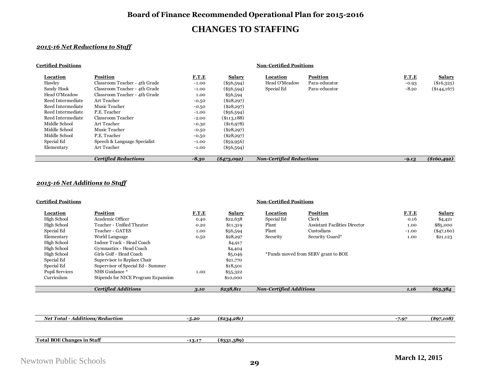### **Board of Finance Recommended Operational Plan for 2015-2016**

## **CHANGES TO STAFFING**

#### *2015-16 Net Reductions to Staff*

| <b>Certified Positions</b> |                               |              |               |                                 |                 |         |               |
|----------------------------|-------------------------------|--------------|---------------|---------------------------------|-----------------|---------|---------------|
| Location                   | <b>Position</b>               | <b>F.T.E</b> | <b>Salary</b> | Location                        | <b>Position</b> | F.T.E   | <b>Salary</b> |
| Hawley                     | Classroom Teacher - 4th Grade | $-1.00$      | $(\$56,594)$  | Head O'Meadow                   | Para-educator   | $-0.93$ | $(\$16,325)$  |
| Sandy Hook                 | Classroom Teacher - 4th Grade | $-1.00$      | $(*56,594)$   | Special Ed                      | Para-educator   | $-8.20$ | $(\$144,167)$ |
| Head O'Meadow              | Classroom Teacher - 4th Grade | 1.00         | \$56,594      |                                 |                 |         |               |
| Reed Intermediate          | Art Teacher                   | $-0.50$      | $(\$28,297)$  |                                 |                 |         |               |
| Reed Intermediate          | Music Teacher                 | $-0.50$      | $(\$28,297)$  |                                 |                 |         |               |
| Reed Intermediate          | P.E. Teacher                  | $-1.00$      | $(\$56,594)$  |                                 |                 |         |               |
| Reed Intermediate          | Classroom Teacher             | $-2.00$      | $(\$113,188)$ |                                 |                 |         |               |
| Middle School              | Art Teacher                   | $-0.30$      | $(\$16,978)$  |                                 |                 |         |               |
| Middle School              | Music Teacher                 | $-0.50$      | $(\$28,297)$  |                                 |                 |         |               |
| Middle School              | P.E. Teacher                  | $-0.50$      | $(\$28,297)$  |                                 |                 |         |               |
| Special Ed                 | Speech & Language Specialist  | $-1.00$      | $(\$59,956)$  |                                 |                 |         |               |
| Elementary                 | Art Teacher                   | $-1.00$      | $(\$56,594)$  |                                 |                 |         |               |
|                            | <b>Certified Reductions</b>   | $-8.30$      | $(*473,092)$  | <b>Non-Certified Reductions</b> |                 | $-9.13$ | $(\$160,492)$ |

#### *2015-16 Net Additions to Staff*

**Certified Positions Non-Certified Positions**

#### **Location Position F.T.E Salary Location Position F.T.E Salary** High School Academic Officer 0.40 \$22,638 Special Ed Clerk 0.16 \$4,421 High School Teacher - Unified Theater 0.20 \$11,319 Plant Assistant Facilities Director 1.00 \$85,000<br>Special Ed Teacher - GATES 1.00 \$56,594 Plant Custodians Custodians -1.00 (\$47,160) Special Ed Teacher - GATES 1.00 \$56,594 Plant Custodians -1.00 (\$47,160) Elementary World Language 0.50 \$28,297 Security Security Guard\* 1.00 \$21,123 High School Indoor Track - Head Coach \$4,917<br>
High School Gymnastics - Head Coach \$4,404 High School Gymnastics - Head Coach \$4,404<br>
High School Girls Golf - Head Coach \$5,049<br>
\$5,049 High School Girls Golf - Head Coach **\$5,049** \*Funds moved from SERV grant to BOE<br>
Special Ed Supervisor to Replace Chair \$21,770 Special Ed Supervisor to Replace Chair \$21,770<br>Special Ed Supervisor of Special Ed - Summer \$18,501 Special Ed Supervisor of Special Ed - Summer \$18,501<br>
Pupil Services NHS Guidance \* 1.00 \$55,322 Pupil Services MES Guidance \* 1.00 \$55,322<br>
Curriculum Stipends for NICE Program Expansion \$10,000 \$10,000 Stipends for NICE Program Expansion \$10,000 *Certified Additions 3.10 \$238,811 Non-Certified Additions 1.16 \$63,384*

| <b>Net Total - Additions/Reduction</b> | -5.20    | $(*234,281)$ | $-7.97$ | (\$97.108) |
|----------------------------------------|----------|--------------|---------|------------|
|                                        |          |              |         |            |
|                                        |          |              |         |            |
| <b>Total BOE Changes in Staff</b>      | $-13.17$ | $(*331,389)$ |         |            |
|                                        |          |              |         |            |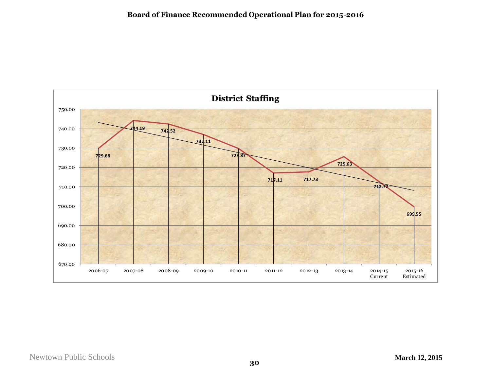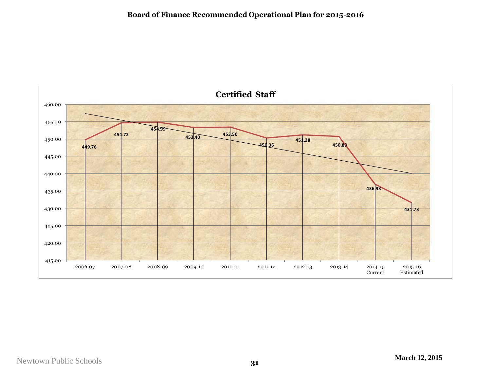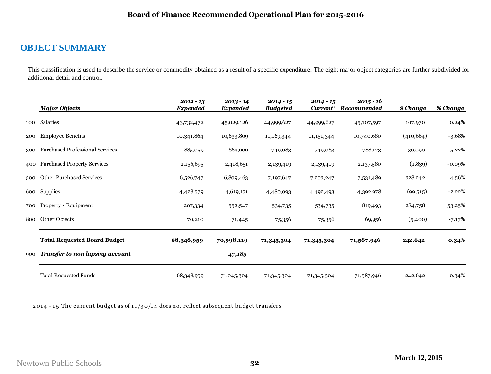# **OBJECT SUMMARY**

This classification is used to describe the service or commodity obtained as a result of a specific expenditure. The eight major object categories are further subdivided for additional detail and control.

|     | <b>Major Objects</b>                   | $2012 - 13$<br><b>Expended</b> | $2013 - 14$<br><b>Expended</b> | $2014 - 15$<br><b>Budgeted</b> | $2014 - 15$<br>Current* | $2015 - 16$<br>Recommended | \$ Change  | % Change  |
|-----|----------------------------------------|--------------------------------|--------------------------------|--------------------------------|-------------------------|----------------------------|------------|-----------|
| 100 | Salaries                               | 43,732,472                     | 45,029,126                     | 44,999,627                     | 44,999,627              | 45,107,597                 | 107,970    | 0.24%     |
| 200 | <b>Employee Benefits</b>               | 10,341,864                     | 10,633,809                     | 11,169,344                     | 11, 151, 344            | 10,740,680                 | (410, 664) | $-3.68%$  |
| 300 | <b>Purchased Professional Services</b> | 885,059                        | 863,909                        | 749,083                        | 749,083                 | 788,173                    | 39,090     | 5.22%     |
|     | 400 Purchased Property Services        | 2,156,695                      | 2,418,651                      | 2,139,419                      | 2,139,419               | 2,137,580                  | (1,839)    | $-0.09%$  |
| 500 | <b>Other Purchased Services</b>        | 6,526,747                      | 6,809,463                      | 7,197,647                      | 7,203,247               | 7,531,489                  | 328,242    | 4.56%     |
|     | 600 Supplies                           | 4,428,579                      | 4,619,171                      | 4,480,093                      | 4,492,493               | 4,392,978                  | (99, 515)  | $-2.22%$  |
| 700 | Property - Equipment                   | 207,334                        | 552,547                        | 534,735                        | 534,735                 | 819,493                    | 284,758    | 53.25%    |
| 800 | Other Objects                          | 70,210                         | 71,445                         | 75,356                         | 75,356                  | 69,956                     | (5,400)    | $-7.17\%$ |
|     | <b>Total Requested Board Budget</b>    | 68,348,959                     | 70,998,119                     | 71,345,304                     | 71,345,304              | 71,587,946                 | 242,642    | $0.34\%$  |
| 900 | Transfer to non lapsing account        |                                | 47,185                         |                                |                         |                            |            |           |
|     | <b>Total Requested Funds</b>           | 68,348,959                     | 71,045,304                     | 71,345,304                     | 71,345,304              | 71,587,946                 | 242,642    | 0.34%     |

2014 - 15 The current budget as of  $11/30/14$  does not reflect subsequent budget transfers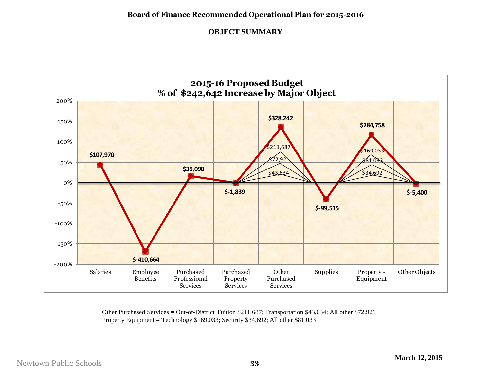## **OBJECT SUMMARY**



Other Purchased Services = Out-of-District Tuition \$211,687; Transportation \$43,634; All other \$72,921 Property Equipment = Technology \$169,033; Security \$34,692; All other \$81,033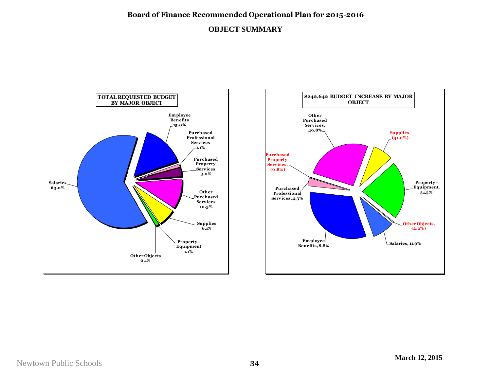## **Board of Finance Recommended Operational Plan for 2015-2016**

## **OBJECT SUMMARY**